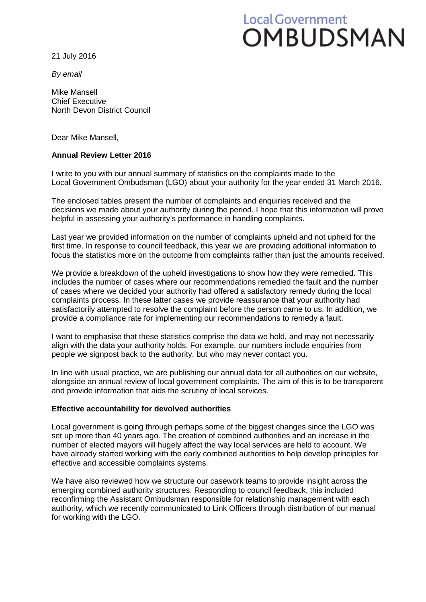# Local Government OMBUDSMAN

21 July 2016

*By email*

Mike Mansell Chief Executive North Devon District Council

Dear Mike Mansell,

### **Annual Review Letter 2016**

I write to you with our annual summary of statistics on the complaints made to the Local Government Ombudsman (LGO) about your authority for the year ended 31 March 2016.

The enclosed tables present the number of complaints and enquiries received and the decisions we made about your authority during the period. I hope that this information will prove helpful in assessing your authority's performance in handling complaints.

Last year we provided information on the number of complaints upheld and not upheld for the first time. In response to council feedback, this year we are providing additional information to focus the statistics more on the outcome from complaints rather than just the amounts received.

We provide a breakdown of the upheld investigations to show how they were remedied. This includes the number of cases where our recommendations remedied the fault and the number of cases where we decided your authority had offered a satisfactory remedy during the local complaints process. In these latter cases we provide reassurance that your authority had satisfactorily attempted to resolve the complaint before the person came to us. In addition, we provide a compliance rate for implementing our recommendations to remedy a fault.

I want to emphasise that these statistics comprise the data we hold, and may not necessarily align with the data your authority holds. For example, our numbers include enquiries from people we signpost back to the authority, but who may never contact you.

In line with usual practice, we are publishing our annual data for all authorities on our website, alongside an annual review of local government complaints. The aim of this is to be transparent and provide information that aids the scrutiny of local services.

#### **Effective accountability for devolved authorities**

Local government is going through perhaps some of the biggest changes since the LGO was set up more than 40 years ago. The creation of combined authorities and an increase in the number of elected mayors will hugely affect the way local services are held to account. We have already started working with the early combined authorities to help develop principles for effective and accessible complaints systems.

We have also reviewed how we structure our casework teams to provide insight across the emerging combined authority structures. Responding to council feedback, this included reconfirming the Assistant Ombudsman responsible for relationship management with each authority, which we recently communicated to Link Officers through distribution of our manual for working with the LGO.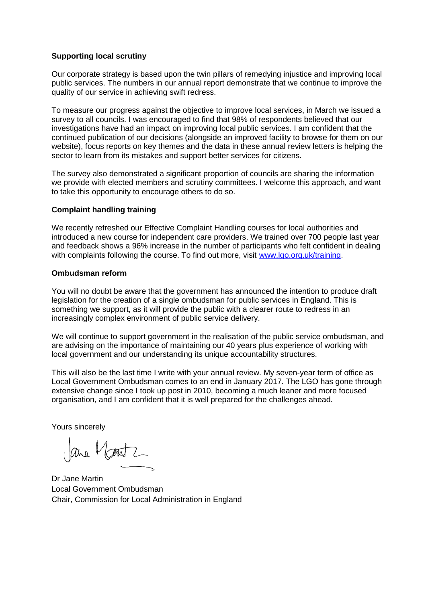#### **Supporting local scrutiny**

Our corporate strategy is based upon the twin pillars of remedying injustice and improving local public services. The numbers in our annual report demonstrate that we continue to improve the quality of our service in achieving swift redress.

To measure our progress against the objective to improve local services, in March we issued a survey to all councils. I was encouraged to find that 98% of respondents believed that our investigations have had an impact on improving local public services. I am confident that the continued publication of our decisions (alongside an improved facility to browse for them on our website), focus reports on key themes and the data in these annual review letters is helping the sector to learn from its mistakes and support better services for citizens.

The survey also demonstrated a significant proportion of councils are sharing the information we provide with elected members and scrutiny committees. I welcome this approach, and want to take this opportunity to encourage others to do so.

#### **Complaint handling training**

We recently refreshed our Effective Complaint Handling courses for local authorities and introduced a new course for independent care providers. We trained over 700 people last year and feedback shows a 96% increase in the number of participants who felt confident in dealing with complaints following the course. To find out more, visit www.lgo.org.uk/training.

#### **Ombudsman reform**

You will no doubt be aware that the government has announced the intention to produce draft legislation for the creation of a single ombudsman for public services in England. This is something we support, as it will provide the public with a clearer route to redress in an increasingly complex environment of public service delivery.

We will continue to support government in the realisation of the public service ombudsman, and are advising on the importance of maintaining our 40 years plus experience of working with local government and our understanding its unique accountability structures.

This will also be the last time I write with your annual review. My seven-year term of office as Local Government Ombudsman comes to an end in January 2017. The LGO has gone through extensive change since I took up post in 2010, becoming a much leaner and more focused organisation, and I am confident that it is well prepared for the challenges ahead.

Yours sincerely

are Montz

Dr Jane Martin Local Government Ombudsman Chair, Commission for Local Administration in England